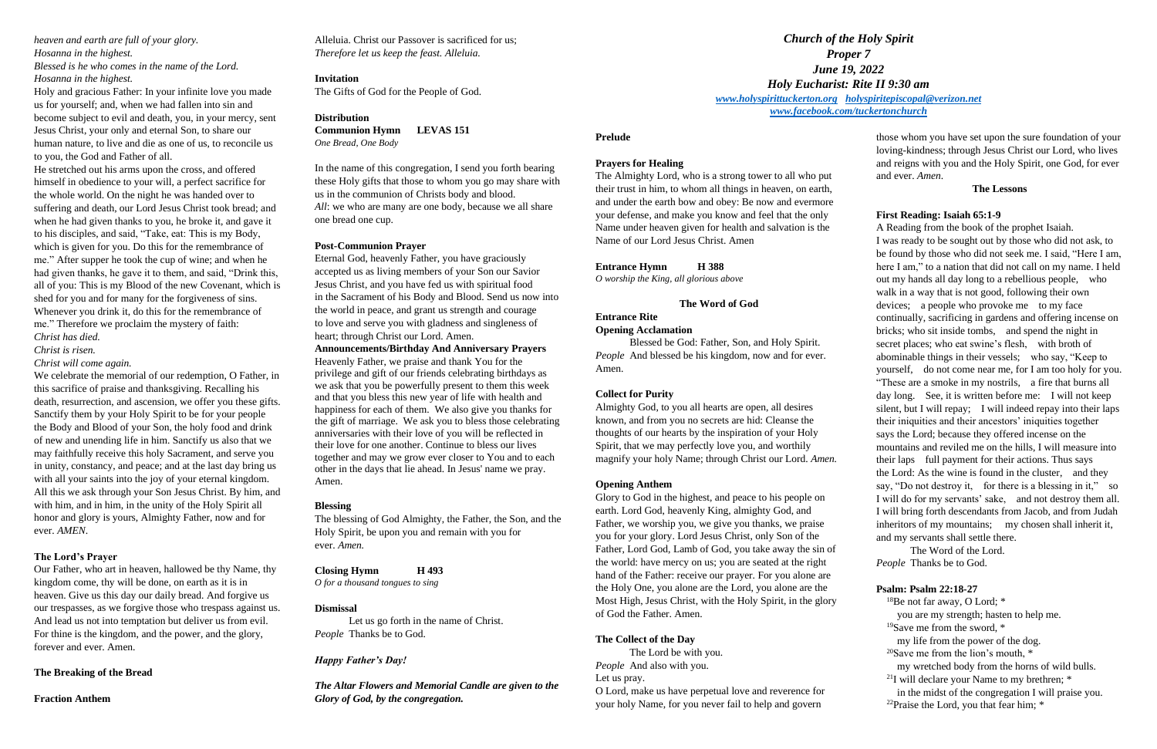*heaven and earth are full of your glory. Hosanna in the highest.*

*Blessed is he who comes in the name of the Lord. Hosanna in the highest.*

Holy and gracious Father: In your infinite love you made us for yourself; and, when we had fallen into sin and become subject to evil and death, you, in your mercy, sent Jesus Christ, your only and eternal Son, to share our human nature, to live and die as one of us, to reconcile us to you, the God and Father of all.

He stretched out his arms upon the cross, and offered himself in obedience to your will, a perfect sacrifice for the whole world. On the night he was handed over to suffering and death, our Lord Jesus Christ took bread; and when he had given thanks to you, he broke it, and gave it to his disciples, and said, "Take, eat: This is my Body, which is given for you. Do this for the remembrance of me." After supper he took the cup of wine; and when he had given thanks, he gave it to them, and said, "Drink this, all of you: This is my Blood of the new Covenant, which is shed for you and for many for the forgiveness of sins. Whenever you drink it, do this for the remembrance of me." Therefore we proclaim the mystery of faith: *Christ has died.*

*Christ is risen.*

*Christ will come again.*

We celebrate the memorial of our redemption, O Father, in this sacrifice of praise and thanksgiving. Recalling his death, resurrection, and ascension, we offer you these gifts. Sanctify them by your Holy Spirit to be for your people the Body and Blood of your Son, the holy food and drink of new and unending life in him. Sanctify us also that we may faithfully receive this holy Sacrament, and serve you in unity, constancy, and peace; and at the last day bring us with all your saints into the joy of your eternal kingdom. All this we ask through your Son Jesus Christ. By him, and with him, and in him, in the unity of the Holy Spirit all honor and glory is yours, Almighty Father, now and for ever. *AMEN*.

### **The Lord's Prayer**

Our Father, who art in heaven, hallowed be thy Name, thy kingdom come, thy will be done, on earth as it is in heaven. Give us this day our daily bread. And forgive us our trespasses, as we forgive those who trespass against us. And lead us not into temptation but deliver us from evil. For thine is the kingdom, and the power, and the glory, forever and ever. Amen.

## **The Breaking of the Bread**

**Fraction Anthem**

Alleluia. Christ our Passover is sacrificed for us; *Therefore let us keep the feast. Alleluia.*

## **Invitation**

The Gifts of God for the People of God.

### **Distribution**

**Communion Hymn LEVAS 151** *One Bread, One Body*

In the name of this congregation, I send you forth bearing these Holy gifts that those to whom you go may share with us in the communion of Christs body and blood. *All*: we who are many are one body, because we all share one bread one cup.

### **Post-Communion Prayer**

Eternal God, heavenly Father, you have graciously accepted us as living members of your Son our Savior Jesus Christ, and you have fed us with spiritual food in the Sacrament of his Body and Blood. Send us now into the world in peace, and grant us strength and courage to love and serve you with gladness and singleness of heart; through Christ our Lord. Amen.

**Announcements/Birthday And Anniversary Prayers** Heavenly Father, we praise and thank You for the privilege and gift of our friends celebrating birthdays as we ask that you be powerfully present to them this week and that you bless this new year of life with health and happiness for each of them. We also give you thanks for the gift of marriage. We ask you to bless those celebrating anniversaries with their love of you will be reflected in their love for one another. Continue to bless our lives together and may we grow ever closer to You and to each other in the days that lie ahead. In Jesus' name we pray. Amen.

## **Blessing**

The blessing of God Almighty, the Father, the Son, and the Holy Spirit, be upon you and remain with you for ever. *Amen.*

## **Closing Hymn H 493**

*O for a thousand tongues to sing*

## **Dismissal**

Let us go forth in the name of Christ. *People* Thanks be to God.

## *Happy Father's Day!*

*The Altar Flowers and Memorial Candle are given to the Glory of God, by the congregation.*

## **Prelude**

## **Prayers for Healing**

The Almighty Lord, who is a strong tower to all who put their trust in him, to whom all things in heaven, on earth, and under the earth bow and obey: Be now and evermore your defense, and make you know and feel that the only Name under heaven given for health and salvation is the Name of our Lord Jesus Christ. Amen

## **Entrance Hymn H 388**

*O worship the King, all glorious above*

## **The Word of God**

# **Entrance Rite**

### **Opening Acclamation**

Blessed be God: Father, Son, and Holy Spirit. *People* And blessed be his kingdom, now and for ever. Amen.

### **Collect for Purity**

Almighty God, to you all hearts are open, all desires known, and from you no secrets are hid: Cleanse the thoughts of our hearts by the inspiration of your Holy Spirit, that we may perfectly love you, and worthily magnify your holy Name; through Christ our Lord. *Amen.*

### **Opening Anthem**

Glory to God in the highest, and peace to his people on earth. Lord God, heavenly King, almighty God, and Father, we worship you, we give you thanks, we praise you for your glory. Lord Jesus Christ, only Son of the Father, Lord God, Lamb of God, you take away the sin of the world: have mercy on us; you are seated at the right hand of the Father: receive our prayer. For you alone are the Holy One, you alone are the Lord, you alone are the Most High, Jesus Christ, with the Holy Spirit, in the glory of God the Father. Amen.

## **The Collect of the Day**

The Lord be with you. *People* And also with you. Let us pray. O Lord, make us have perpetual love and reverence for your holy Name, for you never fail to help and govern

those whom you have set upon the sure foundation of your loving-kindness; through Jesus Christ our Lord, who lives and reigns with you and the Holy Spirit, one God, for ever and ever. *Amen*.

#### **The Lessons**

### **First Reading: Isaiah 65:1-9**

A Reading from the book of the prophet Isaiah. I was ready to be sought out by those who did not ask, to be found by those who did not seek me. I said, "Here I am, here I am," to a nation that did not call on my name. I held out my hands all day long to a rebellious people, who walk in a way that is not good, following their own devices; a people who provoke me to my face continually, sacrificing in gardens and offering incense on bricks; who sit inside tombs, and spend the night in secret places; who eat swine's flesh, with broth of abominable things in their vessels; who say, "Keep to yourself, do not come near me, for I am too holy for you. "These are a smoke in my nostrils, a fire that burns all day long. See, it is written before me: I will not keep silent, but I will repay; I will indeed repay into their laps their iniquities and their ancestors' iniquities together says the Lord; because they offered incense on the mountains and reviled me on the hills, I will measure into their laps full payment for their actions. Thus says the Lord: As the wine is found in the cluster, and they say, "Do not destroy it, for there is a blessing in it," so I will do for my servants' sake, and not destroy them all. I will bring forth descendants from Jacob, and from Judah inheritors of my mountains; my chosen shall inherit it, and my servants shall settle there.

The Word of the Lord.

# *People* Thanks be to God.

### **Psalm: Psalm 22:18-27**

 $18$ Be not far away, O Lord;  $*$ 

you are my strength; hasten to help me.

<sup>19</sup>Save me from the sword, \*

my life from the power of the dog.

<sup>20</sup>Save me from the lion's mouth,  $*$ 

my wretched body from the horns of wild bulls.

 $21$ I will declare your Name to my brethren;  $*$ 

in the midst of the congregation I will praise you.

<sup>22</sup>Praise the Lord, you that fear him;  $*$ 

*Church of the Holy Spirit Proper 7 June 19, 2022 Holy Eucharist: Rite II 9:30 am [www.holyspirittuckerton.org](http://www.holyspirittuckerton.org/) [holyspiritepiscopal@verizon.net](mailto:holyspiritepiscopal@verizon.net) [www.facebook.com/tuckertonchurch](http://www.facebook.com/tuckertonchurch)*